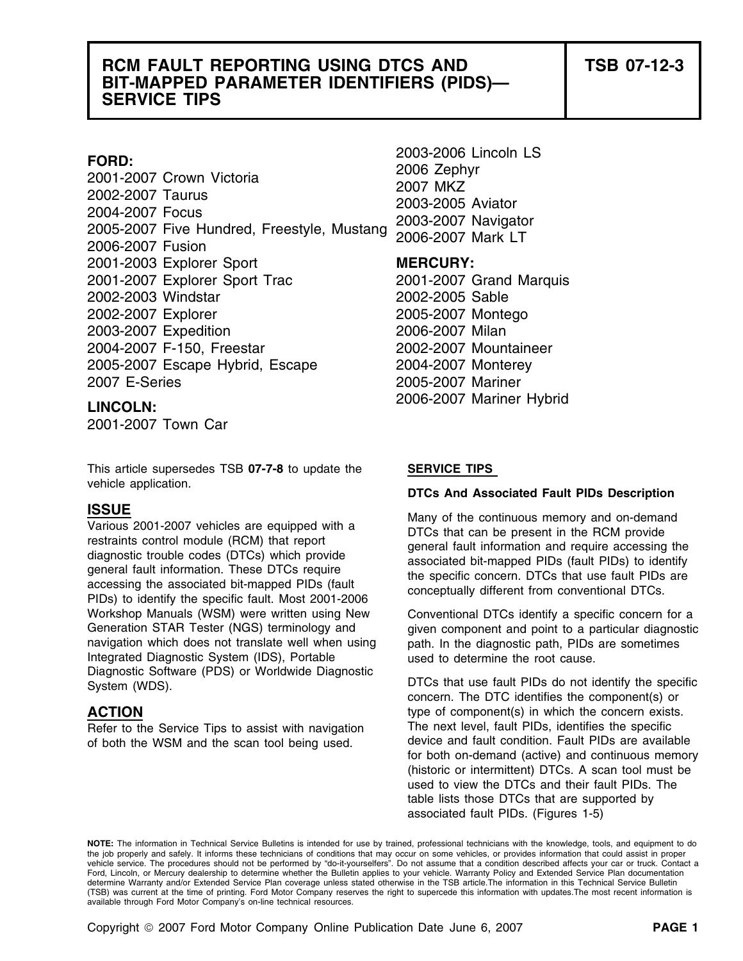## **RCM FAULT REPORTING USING DTCS AND TSB 07-12-3 BIT-MAPPED PARAMETER IDENTIFIERS (PIDS)— SERVICE TIPS**

**FORD:**<br>2001-2007 Crown Victoria<br>2002-2007 Taurus<br>2002-2007 Taurus<br>2004-2007 Focus<br>2003-2005 Aviator<br>2005-2007 Five Hundred, Freestyle, Mustang 2003-2007 Navigator<br>2006-2007 Fusion 2001-2003 Explorer Sport **MERCURY:** 2001-2007 Explorer Sport Trac 2001-2007 Grand Marquis 2002-2003 Windstar 2002-2005 Sable 2002-2007 Explorer 2005-2007 Montego 2003-2007 Expedition 2006-2007 Milan 2004-2007 F-150, Freestar 2002-2007 Mountaineer 2005-2007 Escape Hybrid, Escape 2004-2007 Monterey 2007 E-Series 2005-2007 Mariner

2001-2007 Town Car

This article supersedes TSB **07-7-8** to update the **SERVICE TIPS**  vehicle application. **DTCs And Associated Fault PIDs Description** 

**ISSUE**<br>
Various 2001-2007 vehicles are equipped with a<br>
restraints control module (RCM) that report<br>
diagnostic trouble codes (DTCs) which provide<br>
general fault information and require accessing the<br>
general fault inform Workshop Manuals (WSM) were written using New Conventional DTCs identify a specific concern for a navigation which does not translate well when using path. In the diagnostic path, PIDs are sometimes Integrated Diagnostic System (IDS), Portable used to determine the root cause. Diagnostic Software (PDS) or Worldwide Diagnostic

of both the WSM and the scan tool being used.

2006-2007 Mariner Hybrid **LINCOLN:**

Generation STAR Tester (NGS) terminology and given component and point to a particular diagnostic

System (WDS).  $\sim$  DTCs that use fault PIDs do not identify the specific concern. The DTC identifies the component(s) or **ACTION EXECUTION EXECUTION type of component(s) in which the concern exists.** Refer to the Service Tips to assist with navigation The next level, fault PIDs, identifies the specific<br>of both the WSM and the scan tool being used. device and fault condition. Fault PIDs are available for both on-demand (active) and continuous memory (historic or intermittent) DTCs. A scan tool must be used to view the DTCs and their fault PIDs. The table lists those DTCs that are supported by associated fault PIDs. (Figures 1-5)

**NOTE:** The information in Technical Service Bulletins is intended for use by trained, professional technicians with the knowledge, tools, and equipment to do the job properly and safely. It informs these technicians of conditions that may occur on some vehicles, or provides information that could assist in proper vehicle service. The procedures should not be performed by "do-it-yourselfers". Do not assume that a condition described affects your car or truck. Contact a Ford, Lincoln, or Mercury dealership to determine whether the Bulletin applies to your vehicle. Warranty Policy and Extended Service Plan documentation determine Warranty and/or Extended Service Plan coverage unless stated otherwise in the TSB article.The information in this Technical Service Bulletin (TSB) was current at the time of printing. Ford Motor Company reserves the right to supercede this information with updates.The most recent information is available through Ford Motor Company's on-line technical resources.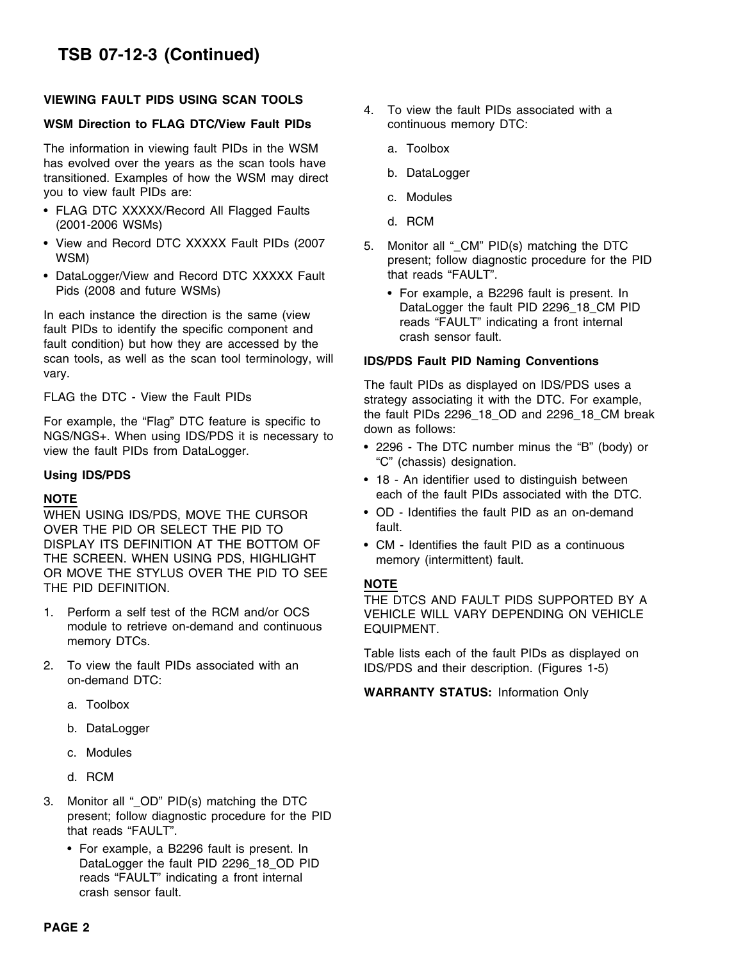# **TSB 07-12-3 (Continued)**

## **VIEWING FAULT PIDS USING SCAN TOOLS**

## **WSM Direction to FLAG DTC/View Fault PIDs** continuous memory DTC:

The information in viewing fault PIDs in the WSM a. Toolbox has evolved over the years as the scan tools have<br>transitioned. Examples of how the WSM may direct b. DataLogger you to view fault PIDs are: c. Modules

- FLAG DTC XXXXX/Record All Flagged Faults (2001-2006 WSMs) d. RCM
- View and Record DTC XXXXX Fault PIDs (2007 View and Record DTC XXXXX Fault PIDs (2007 5. Monitor all "\_CM" PID(s) matching the DTC
- DataLogger/View and Record DTC XXXXX Fault that reads "FAULT". Pids (2008 and future WSMs)  $\bullet$  For example, a B2296 fault is present. In

In each instance the direction is the same (view<br>fault PIDs to identify the specific component and<br>fault condition) but how they are accessed by the<br>fault condition) but how they are accessed by the scan tools, as well as the scan tool terminology, will **IDS/PDS Fault PID Naming Conventions** vary.

## **Using IDS/PDS** •

OVER THE PID OR SELECT THE PID TO DISPLAY ITS DEFINITION AT THE BOTTOM OF THE SCREEN. WHEN USING PDS, HIGHLIGHT memory (intermittent) fault. OR MOVE THE STYLUS OVER THE PID TO SEE THE PID DEFINITION. **NOTE**

- 1. Perform a self test of the RCM and/or OCS VEHICLE WILL VARY DEPENDING ON VEHICLE module to retrieve on-demand and continuous EQUIPMENT. memory DTCs.
- 2. To view the fault PIDs associated with an IDS/PDS and their description. (Figures 1-5) on-demand DTC:
	- a. Toolbox
	- b. DataLogger
	- c. Modules
	- d. RCM
- 3. Monitor all "\_OD" PID(s) matching the DTC present; follow diagnostic procedure for the PID that reads "FAULT".
	- For example, a B2296 fault is present. In DataLogger the fault PID 2296\_18\_OD PID reads "FAULT" indicating a front internal crash sensor fault.
- 4. To view the fault PIDs associated with a
	-
	-
	-
	-
- present; follow diagnostic procedure for the PID
	-

The fault PIDs as displayed on IDS/PDS uses a FLAG the DTC - View the Fault PIDs strategy associating it with the DTC. For example, For example, the "Flag" DTC feature is specific to the fault PIDs 2296\_18\_OD and 2296\_18\_CM break For example, the "Flag" DTC feature is specific to down as follows:

- 2296 The DTC number minus the "B" (body) or view the fault PIDs from DataLogger. "C" (chassis) designation.
- 18 An identifier used to distinguish between each of the fault PIDs associated with the DTC. **NOTE**
- WHEN USING IDS/PDS, MOVE THE CURSOR  $\bullet$  OD Identifies the fault PID as an on-demand OVER THE PID OR SELECT THE PID TO
	- CM Identifies the fault PID as a continuous

THE DTCS AND FAULT PIDS SUPPORTED BY A

Table lists each of the fault PIDs as displayed on

**WARRANTY STATUS:** Information Only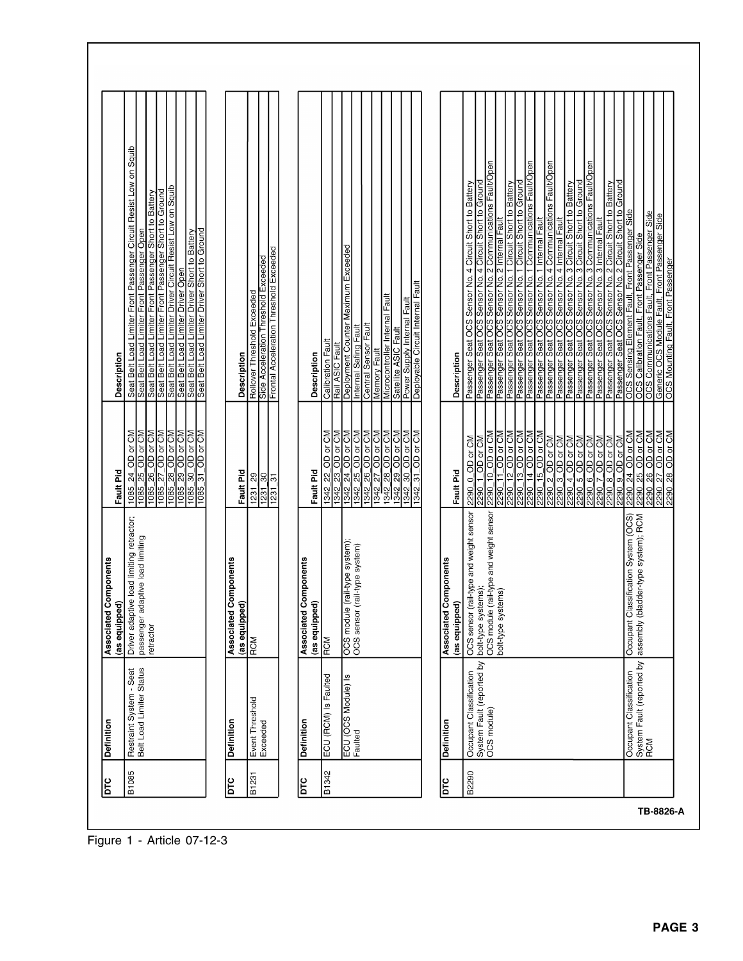| Seat Belt Load Limiter Front Passenger Circuit Resist Low on Squib<br>Seat Belt Load Limiter Front Passenger Open<br>Passenger Seat OCS Sensor No. 1 Communications Fault/Open<br>Passenger Seat OCS Sensor No. 2 Communications Fault/Open<br>Passenger Seat OCS Sensor No. 1 Internal Fault<br>Passenger Seat OCS Sensor No. 4 Communications Fault/Open<br>Passenger Seat OCS Sensor No. 4 Internal Fault<br>Passenger Seat OCS Sensor No. 3 Circuit Short to Battery<br>Passenger Seat OCS Sensor No. 3 Circuit Short to Ground<br>Passenger Seat OCS Sensor No. 3 Communications Fault/Open<br>Passenger Seat OCS Sensor No. 2 Circuit Short to Ground<br>Passenger Seat OCS Sensor No. 4 Circuit Short to Ground<br>Passenger Seat OCS Sensor No. 1 Circuit Short to Ground<br><u>Passenger Seat OCS Sensor No. 3 Internal Fault<br/>Passenger Seat OCS Sensor No. 2 Circuit Short to Battery</u><br>Passenger Seat OCS Sensor No. 1 Circuit Short to Battery<br>Passenger Seat OCS Sensor No. 4 Circuit Short to Battery<br><u>Seat Belt Load Limiter Driver Circuit Resist Low on Squib</u><br>Seat Belt Load Limiter Driver Open<br>Seat Belt Load Limiter Front Passenger Short to Battery<br>Seat Belt Load Limiter Front Passenger Short to Ground<br>OCS Sensing Element Fault, Front Passenger Side<br>OCS Calibration Fault, Front Passenger Side<br>OCS Communications Fault, Front Passenger Side<br>Generic OCS Module Fault, Front Passenger Side<br>Passenger Seat OCS Sensor No. 2 Internal Fault<br>Seat Belt Load Limiter Driver Short to Battery<br>Seat Belt Load Limiter Driver Short to Ground<br>Rail ASIC Fault<br>Deployment Counter Maximum Exceeded<br>Frontal Acceleration Threshold Exceeded<br>Side Acceleration Threshold Exceeded<br>OCS Mounting Fault, Front Passenger<br>Deployable Circuit Internal Fault<br>Rollover Threshold Exceeded<br>Microcontroller Internal Fault<br>Power Supply Internal Fault<br>Central Sensor Fault<br>Internal Safing Fault<br>Satellite ASIC Fault<br>Calibration Fault<br>Memory Fault<br>Description<br><b>Description</b><br>Description<br>$27$ OD or CM<br>1085_24_OD or CM<br>1085_25_OD or CM<br>$29$ OD or CM<br>1085_30_OD or CM<br>1085_31_OD or CM<br>$\frac{25.00 \text{ or CM}}{26.00 \text{ or CM}}$<br>27 00 or CM<br>28 00 or CM<br>29 00 or CM<br>29 00 or CM<br>21 00 or CM<br>1085_28_OD or CM<br>OD or CM<br>$24$ OD or CM<br>2290 25 OD or CM<br>2290 26 OD or CM<br>$\frac{12}{13}$ OD or CM<br>$\frac{13}{13}$ OD or CM<br>$\frac{14}{15}$ OD or CM<br>OD or CM<br>23_OD or CM<br>2290_10_OD or CM<br>2290_11_OD or CM<br>2290 24 OD or CM<br>2290_2_OD or CM<br>2290_0_OD or CM<br>2290_4_OD_or_CM<br>2290 8 OD or CM<br>2290_9_OD or CM<br>2290_5_OD_or_CM<br>2290_6_OD_or_CM<br>290_1_OD or CM<br>OD or CM<br>2290_7_OD or CM<br>Fault Pid<br>1342_22_<br>Fault Pid<br>Fault Pid<br>1342 31<br>28<br>29<br>$\frac{1231 - 31}{1231 - 31}$<br>2290_3<br>$\frac{1085}{1085}$<br>$\frac{1342}{ }$<br>$\frac{1}{3}$ $\frac{1}{3}$ $\frac{1}{3}$ $\frac{1}{3}$ $\frac{1}{3}$ $\frac{1}{3}$ $\frac{1}{3}$ $\frac{1}{3}$ $\frac{1}{3}$ $\frac{1}{3}$ $\frac{1}{3}$ $\frac{1}{3}$ $\frac{1}{3}$ $\frac{1}{3}$ $\frac{1}{3}$ $\frac{1}{3}$ $\frac{1}{3}$ $\frac{1}{3}$ $\frac{1}{3}$ $\frac{1}{3}$ $\frac{1}{3}$ $\frac{1}{3}$<br>2290_<br>2290<br>1231<br>$\frac{1342}{1342}$<br>2290_<br>$\frac{342}{3}$<br>2290_<br>342<br>2290<br>2290<br>bolt-type systems);<br>OCS module (rail-type and weight sensor<br> oolt-type systems)<br>(rail-type and weight sensor<br>ladder-type system); RCM<br>assification System (OCS)<br>Driver adaptive load limiting retractor;<br>passenger adaptive load limiting<br>OCS module (rail-type system);<br>OCS sensor (rail-type system)<br>Components<br>Components<br>Components<br>(as equipped)<br>(as equipped)<br>(as equipped)<br>Associated<br>Associated<br>Associated<br>OCS sensor<br>Occupant C<br>assembly (b<br>retractor<br>RCM<br><b>RCM</b><br>System Fault (reported by<br>Occupant Classification<br>System Fault (reported by<br>Restraint System - Seat<br>Belt Load Limiter Status<br>Occupant Classification<br>ECU (RCM) Is Faulted<br>ECU (OCS Module) Is<br>Event Threshold<br>Exceeded<br>OCS module)<br>Definition<br>Definition<br>Definition<br>Faulted<br>B1085<br><b>B1342</b><br>B2290<br>B1231<br>þтс<br>DТС<br>$\overline{p}$ | БC | Definition | Components<br>(as equipped)<br>Associated | Fault Pid | Description |
|--------------------------------------------------------------------------------------------------------------------------------------------------------------------------------------------------------------------------------------------------------------------------------------------------------------------------------------------------------------------------------------------------------------------------------------------------------------------------------------------------------------------------------------------------------------------------------------------------------------------------------------------------------------------------------------------------------------------------------------------------------------------------------------------------------------------------------------------------------------------------------------------------------------------------------------------------------------------------------------------------------------------------------------------------------------------------------------------------------------------------------------------------------------------------------------------------------------------------------------------------------------------------------------------------------------------------------------------------------------------------------------------------------------------------------------------------------------------------------------------------------------------------------------------------------------------------------------------------------------------------------------------------------------------------------------------------------------------------------------------------------------------------------------------------------------------------------------------------------------------------------------------------------------------------------------------------------------------------------------------------------------------------------------------------------------------------------------------------------------------------------------------------------------------------------------------------------------------------------------------------------------------------------------------------------------------------------------------------------------------------------------------------------------------------------------------------------------------------------------------------------------------------------------------------------------------------------------------------------------------------------------------------------------------------------------------------------------------------------------------------------------------------------------------------------------------------------------------------------------------------------------------------------------------------------------------------------------------------------------------------------------------------------------------------------------------------------------------------------------------------------------------------------------------------------------------------------------------------------------------------------------------------------------------------------------------------------------------------------------------------------------------------------------------------------------------------------------------------------------------------------------------------------------------------------------------------------------------------------------------------------------------------------------------------------------------------------------------------------------------------------------------------------------------------------------------------------------------------------------------------------------------------------------------------------------------------------------------------------------------------------------------------------------------------------------------------------------------------------------------------------------------------------------------------------------------------------------------------------------------------------------------------------------------------------------------------------------------------------------------------------------------------|----|------------|-------------------------------------------|-----------|-------------|
|                                                                                                                                                                                                                                                                                                                                                                                                                                                                                                                                                                                                                                                                                                                                                                                                                                                                                                                                                                                                                                                                                                                                                                                                                                                                                                                                                                                                                                                                                                                                                                                                                                                                                                                                                                                                                                                                                                                                                                                                                                                                                                                                                                                                                                                                                                                                                                                                                                                                                                                                                                                                                                                                                                                                                                                                                                                                                                                                                                                                                                                                                                                                                                                                                                                                                                                                                                                                                                                                                                                                                                                                                                                                                                                                                                                                                                                                                                                                                                                                                                                                                                                                                                                                                                                                                                                                                                                                  |    |            |                                           |           |             |
|                                                                                                                                                                                                                                                                                                                                                                                                                                                                                                                                                                                                                                                                                                                                                                                                                                                                                                                                                                                                                                                                                                                                                                                                                                                                                                                                                                                                                                                                                                                                                                                                                                                                                                                                                                                                                                                                                                                                                                                                                                                                                                                                                                                                                                                                                                                                                                                                                                                                                                                                                                                                                                                                                                                                                                                                                                                                                                                                                                                                                                                                                                                                                                                                                                                                                                                                                                                                                                                                                                                                                                                                                                                                                                                                                                                                                                                                                                                                                                                                                                                                                                                                                                                                                                                                                                                                                                                                  |    |            |                                           |           |             |
|                                                                                                                                                                                                                                                                                                                                                                                                                                                                                                                                                                                                                                                                                                                                                                                                                                                                                                                                                                                                                                                                                                                                                                                                                                                                                                                                                                                                                                                                                                                                                                                                                                                                                                                                                                                                                                                                                                                                                                                                                                                                                                                                                                                                                                                                                                                                                                                                                                                                                                                                                                                                                                                                                                                                                                                                                                                                                                                                                                                                                                                                                                                                                                                                                                                                                                                                                                                                                                                                                                                                                                                                                                                                                                                                                                                                                                                                                                                                                                                                                                                                                                                                                                                                                                                                                                                                                                                                  |    |            |                                           |           |             |
|                                                                                                                                                                                                                                                                                                                                                                                                                                                                                                                                                                                                                                                                                                                                                                                                                                                                                                                                                                                                                                                                                                                                                                                                                                                                                                                                                                                                                                                                                                                                                                                                                                                                                                                                                                                                                                                                                                                                                                                                                                                                                                                                                                                                                                                                                                                                                                                                                                                                                                                                                                                                                                                                                                                                                                                                                                                                                                                                                                                                                                                                                                                                                                                                                                                                                                                                                                                                                                                                                                                                                                                                                                                                                                                                                                                                                                                                                                                                                                                                                                                                                                                                                                                                                                                                                                                                                                                                  |    |            |                                           |           |             |
|                                                                                                                                                                                                                                                                                                                                                                                                                                                                                                                                                                                                                                                                                                                                                                                                                                                                                                                                                                                                                                                                                                                                                                                                                                                                                                                                                                                                                                                                                                                                                                                                                                                                                                                                                                                                                                                                                                                                                                                                                                                                                                                                                                                                                                                                                                                                                                                                                                                                                                                                                                                                                                                                                                                                                                                                                                                                                                                                                                                                                                                                                                                                                                                                                                                                                                                                                                                                                                                                                                                                                                                                                                                                                                                                                                                                                                                                                                                                                                                                                                                                                                                                                                                                                                                                                                                                                                                                  |    |            |                                           |           |             |
|                                                                                                                                                                                                                                                                                                                                                                                                                                                                                                                                                                                                                                                                                                                                                                                                                                                                                                                                                                                                                                                                                                                                                                                                                                                                                                                                                                                                                                                                                                                                                                                                                                                                                                                                                                                                                                                                                                                                                                                                                                                                                                                                                                                                                                                                                                                                                                                                                                                                                                                                                                                                                                                                                                                                                                                                                                                                                                                                                                                                                                                                                                                                                                                                                                                                                                                                                                                                                                                                                                                                                                                                                                                                                                                                                                                                                                                                                                                                                                                                                                                                                                                                                                                                                                                                                                                                                                                                  |    |            |                                           |           |             |
|                                                                                                                                                                                                                                                                                                                                                                                                                                                                                                                                                                                                                                                                                                                                                                                                                                                                                                                                                                                                                                                                                                                                                                                                                                                                                                                                                                                                                                                                                                                                                                                                                                                                                                                                                                                                                                                                                                                                                                                                                                                                                                                                                                                                                                                                                                                                                                                                                                                                                                                                                                                                                                                                                                                                                                                                                                                                                                                                                                                                                                                                                                                                                                                                                                                                                                                                                                                                                                                                                                                                                                                                                                                                                                                                                                                                                                                                                                                                                                                                                                                                                                                                                                                                                                                                                                                                                                                                  |    |            |                                           |           |             |
|                                                                                                                                                                                                                                                                                                                                                                                                                                                                                                                                                                                                                                                                                                                                                                                                                                                                                                                                                                                                                                                                                                                                                                                                                                                                                                                                                                                                                                                                                                                                                                                                                                                                                                                                                                                                                                                                                                                                                                                                                                                                                                                                                                                                                                                                                                                                                                                                                                                                                                                                                                                                                                                                                                                                                                                                                                                                                                                                                                                                                                                                                                                                                                                                                                                                                                                                                                                                                                                                                                                                                                                                                                                                                                                                                                                                                                                                                                                                                                                                                                                                                                                                                                                                                                                                                                                                                                                                  |    |            |                                           |           |             |
|                                                                                                                                                                                                                                                                                                                                                                                                                                                                                                                                                                                                                                                                                                                                                                                                                                                                                                                                                                                                                                                                                                                                                                                                                                                                                                                                                                                                                                                                                                                                                                                                                                                                                                                                                                                                                                                                                                                                                                                                                                                                                                                                                                                                                                                                                                                                                                                                                                                                                                                                                                                                                                                                                                                                                                                                                                                                                                                                                                                                                                                                                                                                                                                                                                                                                                                                                                                                                                                                                                                                                                                                                                                                                                                                                                                                                                                                                                                                                                                                                                                                                                                                                                                                                                                                                                                                                                                                  |    |            |                                           |           |             |
|                                                                                                                                                                                                                                                                                                                                                                                                                                                                                                                                                                                                                                                                                                                                                                                                                                                                                                                                                                                                                                                                                                                                                                                                                                                                                                                                                                                                                                                                                                                                                                                                                                                                                                                                                                                                                                                                                                                                                                                                                                                                                                                                                                                                                                                                                                                                                                                                                                                                                                                                                                                                                                                                                                                                                                                                                                                                                                                                                                                                                                                                                                                                                                                                                                                                                                                                                                                                                                                                                                                                                                                                                                                                                                                                                                                                                                                                                                                                                                                                                                                                                                                                                                                                                                                                                                                                                                                                  |    |            |                                           |           |             |
|                                                                                                                                                                                                                                                                                                                                                                                                                                                                                                                                                                                                                                                                                                                                                                                                                                                                                                                                                                                                                                                                                                                                                                                                                                                                                                                                                                                                                                                                                                                                                                                                                                                                                                                                                                                                                                                                                                                                                                                                                                                                                                                                                                                                                                                                                                                                                                                                                                                                                                                                                                                                                                                                                                                                                                                                                                                                                                                                                                                                                                                                                                                                                                                                                                                                                                                                                                                                                                                                                                                                                                                                                                                                                                                                                                                                                                                                                                                                                                                                                                                                                                                                                                                                                                                                                                                                                                                                  |    |            |                                           |           |             |
|                                                                                                                                                                                                                                                                                                                                                                                                                                                                                                                                                                                                                                                                                                                                                                                                                                                                                                                                                                                                                                                                                                                                                                                                                                                                                                                                                                                                                                                                                                                                                                                                                                                                                                                                                                                                                                                                                                                                                                                                                                                                                                                                                                                                                                                                                                                                                                                                                                                                                                                                                                                                                                                                                                                                                                                                                                                                                                                                                                                                                                                                                                                                                                                                                                                                                                                                                                                                                                                                                                                                                                                                                                                                                                                                                                                                                                                                                                                                                                                                                                                                                                                                                                                                                                                                                                                                                                                                  |    |            |                                           |           |             |
|                                                                                                                                                                                                                                                                                                                                                                                                                                                                                                                                                                                                                                                                                                                                                                                                                                                                                                                                                                                                                                                                                                                                                                                                                                                                                                                                                                                                                                                                                                                                                                                                                                                                                                                                                                                                                                                                                                                                                                                                                                                                                                                                                                                                                                                                                                                                                                                                                                                                                                                                                                                                                                                                                                                                                                                                                                                                                                                                                                                                                                                                                                                                                                                                                                                                                                                                                                                                                                                                                                                                                                                                                                                                                                                                                                                                                                                                                                                                                                                                                                                                                                                                                                                                                                                                                                                                                                                                  |    |            |                                           |           |             |
|                                                                                                                                                                                                                                                                                                                                                                                                                                                                                                                                                                                                                                                                                                                                                                                                                                                                                                                                                                                                                                                                                                                                                                                                                                                                                                                                                                                                                                                                                                                                                                                                                                                                                                                                                                                                                                                                                                                                                                                                                                                                                                                                                                                                                                                                                                                                                                                                                                                                                                                                                                                                                                                                                                                                                                                                                                                                                                                                                                                                                                                                                                                                                                                                                                                                                                                                                                                                                                                                                                                                                                                                                                                                                                                                                                                                                                                                                                                                                                                                                                                                                                                                                                                                                                                                                                                                                                                                  |    |            |                                           |           |             |
|                                                                                                                                                                                                                                                                                                                                                                                                                                                                                                                                                                                                                                                                                                                                                                                                                                                                                                                                                                                                                                                                                                                                                                                                                                                                                                                                                                                                                                                                                                                                                                                                                                                                                                                                                                                                                                                                                                                                                                                                                                                                                                                                                                                                                                                                                                                                                                                                                                                                                                                                                                                                                                                                                                                                                                                                                                                                                                                                                                                                                                                                                                                                                                                                                                                                                                                                                                                                                                                                                                                                                                                                                                                                                                                                                                                                                                                                                                                                                                                                                                                                                                                                                                                                                                                                                                                                                                                                  |    |            |                                           |           |             |
|                                                                                                                                                                                                                                                                                                                                                                                                                                                                                                                                                                                                                                                                                                                                                                                                                                                                                                                                                                                                                                                                                                                                                                                                                                                                                                                                                                                                                                                                                                                                                                                                                                                                                                                                                                                                                                                                                                                                                                                                                                                                                                                                                                                                                                                                                                                                                                                                                                                                                                                                                                                                                                                                                                                                                                                                                                                                                                                                                                                                                                                                                                                                                                                                                                                                                                                                                                                                                                                                                                                                                                                                                                                                                                                                                                                                                                                                                                                                                                                                                                                                                                                                                                                                                                                                                                                                                                                                  |    |            |                                           |           |             |
|                                                                                                                                                                                                                                                                                                                                                                                                                                                                                                                                                                                                                                                                                                                                                                                                                                                                                                                                                                                                                                                                                                                                                                                                                                                                                                                                                                                                                                                                                                                                                                                                                                                                                                                                                                                                                                                                                                                                                                                                                                                                                                                                                                                                                                                                                                                                                                                                                                                                                                                                                                                                                                                                                                                                                                                                                                                                                                                                                                                                                                                                                                                                                                                                                                                                                                                                                                                                                                                                                                                                                                                                                                                                                                                                                                                                                                                                                                                                                                                                                                                                                                                                                                                                                                                                                                                                                                                                  |    |            |                                           |           |             |
|                                                                                                                                                                                                                                                                                                                                                                                                                                                                                                                                                                                                                                                                                                                                                                                                                                                                                                                                                                                                                                                                                                                                                                                                                                                                                                                                                                                                                                                                                                                                                                                                                                                                                                                                                                                                                                                                                                                                                                                                                                                                                                                                                                                                                                                                                                                                                                                                                                                                                                                                                                                                                                                                                                                                                                                                                                                                                                                                                                                                                                                                                                                                                                                                                                                                                                                                                                                                                                                                                                                                                                                                                                                                                                                                                                                                                                                                                                                                                                                                                                                                                                                                                                                                                                                                                                                                                                                                  |    |            |                                           |           |             |
|                                                                                                                                                                                                                                                                                                                                                                                                                                                                                                                                                                                                                                                                                                                                                                                                                                                                                                                                                                                                                                                                                                                                                                                                                                                                                                                                                                                                                                                                                                                                                                                                                                                                                                                                                                                                                                                                                                                                                                                                                                                                                                                                                                                                                                                                                                                                                                                                                                                                                                                                                                                                                                                                                                                                                                                                                                                                                                                                                                                                                                                                                                                                                                                                                                                                                                                                                                                                                                                                                                                                                                                                                                                                                                                                                                                                                                                                                                                                                                                                                                                                                                                                                                                                                                                                                                                                                                                                  |    |            |                                           |           |             |
|                                                                                                                                                                                                                                                                                                                                                                                                                                                                                                                                                                                                                                                                                                                                                                                                                                                                                                                                                                                                                                                                                                                                                                                                                                                                                                                                                                                                                                                                                                                                                                                                                                                                                                                                                                                                                                                                                                                                                                                                                                                                                                                                                                                                                                                                                                                                                                                                                                                                                                                                                                                                                                                                                                                                                                                                                                                                                                                                                                                                                                                                                                                                                                                                                                                                                                                                                                                                                                                                                                                                                                                                                                                                                                                                                                                                                                                                                                                                                                                                                                                                                                                                                                                                                                                                                                                                                                                                  |    |            |                                           |           |             |
|                                                                                                                                                                                                                                                                                                                                                                                                                                                                                                                                                                                                                                                                                                                                                                                                                                                                                                                                                                                                                                                                                                                                                                                                                                                                                                                                                                                                                                                                                                                                                                                                                                                                                                                                                                                                                                                                                                                                                                                                                                                                                                                                                                                                                                                                                                                                                                                                                                                                                                                                                                                                                                                                                                                                                                                                                                                                                                                                                                                                                                                                                                                                                                                                                                                                                                                                                                                                                                                                                                                                                                                                                                                                                                                                                                                                                                                                                                                                                                                                                                                                                                                                                                                                                                                                                                                                                                                                  |    |            |                                           |           |             |
|                                                                                                                                                                                                                                                                                                                                                                                                                                                                                                                                                                                                                                                                                                                                                                                                                                                                                                                                                                                                                                                                                                                                                                                                                                                                                                                                                                                                                                                                                                                                                                                                                                                                                                                                                                                                                                                                                                                                                                                                                                                                                                                                                                                                                                                                                                                                                                                                                                                                                                                                                                                                                                                                                                                                                                                                                                                                                                                                                                                                                                                                                                                                                                                                                                                                                                                                                                                                                                                                                                                                                                                                                                                                                                                                                                                                                                                                                                                                                                                                                                                                                                                                                                                                                                                                                                                                                                                                  |    |            |                                           |           |             |
|                                                                                                                                                                                                                                                                                                                                                                                                                                                                                                                                                                                                                                                                                                                                                                                                                                                                                                                                                                                                                                                                                                                                                                                                                                                                                                                                                                                                                                                                                                                                                                                                                                                                                                                                                                                                                                                                                                                                                                                                                                                                                                                                                                                                                                                                                                                                                                                                                                                                                                                                                                                                                                                                                                                                                                                                                                                                                                                                                                                                                                                                                                                                                                                                                                                                                                                                                                                                                                                                                                                                                                                                                                                                                                                                                                                                                                                                                                                                                                                                                                                                                                                                                                                                                                                                                                                                                                                                  |    |            |                                           |           |             |
|                                                                                                                                                                                                                                                                                                                                                                                                                                                                                                                                                                                                                                                                                                                                                                                                                                                                                                                                                                                                                                                                                                                                                                                                                                                                                                                                                                                                                                                                                                                                                                                                                                                                                                                                                                                                                                                                                                                                                                                                                                                                                                                                                                                                                                                                                                                                                                                                                                                                                                                                                                                                                                                                                                                                                                                                                                                                                                                                                                                                                                                                                                                                                                                                                                                                                                                                                                                                                                                                                                                                                                                                                                                                                                                                                                                                                                                                                                                                                                                                                                                                                                                                                                                                                                                                                                                                                                                                  |    |            |                                           |           |             |
|                                                                                                                                                                                                                                                                                                                                                                                                                                                                                                                                                                                                                                                                                                                                                                                                                                                                                                                                                                                                                                                                                                                                                                                                                                                                                                                                                                                                                                                                                                                                                                                                                                                                                                                                                                                                                                                                                                                                                                                                                                                                                                                                                                                                                                                                                                                                                                                                                                                                                                                                                                                                                                                                                                                                                                                                                                                                                                                                                                                                                                                                                                                                                                                                                                                                                                                                                                                                                                                                                                                                                                                                                                                                                                                                                                                                                                                                                                                                                                                                                                                                                                                                                                                                                                                                                                                                                                                                  |    |            |                                           |           |             |
|                                                                                                                                                                                                                                                                                                                                                                                                                                                                                                                                                                                                                                                                                                                                                                                                                                                                                                                                                                                                                                                                                                                                                                                                                                                                                                                                                                                                                                                                                                                                                                                                                                                                                                                                                                                                                                                                                                                                                                                                                                                                                                                                                                                                                                                                                                                                                                                                                                                                                                                                                                                                                                                                                                                                                                                                                                                                                                                                                                                                                                                                                                                                                                                                                                                                                                                                                                                                                                                                                                                                                                                                                                                                                                                                                                                                                                                                                                                                                                                                                                                                                                                                                                                                                                                                                                                                                                                                  |    |            |                                           |           |             |
|                                                                                                                                                                                                                                                                                                                                                                                                                                                                                                                                                                                                                                                                                                                                                                                                                                                                                                                                                                                                                                                                                                                                                                                                                                                                                                                                                                                                                                                                                                                                                                                                                                                                                                                                                                                                                                                                                                                                                                                                                                                                                                                                                                                                                                                                                                                                                                                                                                                                                                                                                                                                                                                                                                                                                                                                                                                                                                                                                                                                                                                                                                                                                                                                                                                                                                                                                                                                                                                                                                                                                                                                                                                                                                                                                                                                                                                                                                                                                                                                                                                                                                                                                                                                                                                                                                                                                                                                  |    |            |                                           |           |             |
|                                                                                                                                                                                                                                                                                                                                                                                                                                                                                                                                                                                                                                                                                                                                                                                                                                                                                                                                                                                                                                                                                                                                                                                                                                                                                                                                                                                                                                                                                                                                                                                                                                                                                                                                                                                                                                                                                                                                                                                                                                                                                                                                                                                                                                                                                                                                                                                                                                                                                                                                                                                                                                                                                                                                                                                                                                                                                                                                                                                                                                                                                                                                                                                                                                                                                                                                                                                                                                                                                                                                                                                                                                                                                                                                                                                                                                                                                                                                                                                                                                                                                                                                                                                                                                                                                                                                                                                                  |    |            |                                           |           |             |
|                                                                                                                                                                                                                                                                                                                                                                                                                                                                                                                                                                                                                                                                                                                                                                                                                                                                                                                                                                                                                                                                                                                                                                                                                                                                                                                                                                                                                                                                                                                                                                                                                                                                                                                                                                                                                                                                                                                                                                                                                                                                                                                                                                                                                                                                                                                                                                                                                                                                                                                                                                                                                                                                                                                                                                                                                                                                                                                                                                                                                                                                                                                                                                                                                                                                                                                                                                                                                                                                                                                                                                                                                                                                                                                                                                                                                                                                                                                                                                                                                                                                                                                                                                                                                                                                                                                                                                                                  |    |            |                                           |           |             |
|                                                                                                                                                                                                                                                                                                                                                                                                                                                                                                                                                                                                                                                                                                                                                                                                                                                                                                                                                                                                                                                                                                                                                                                                                                                                                                                                                                                                                                                                                                                                                                                                                                                                                                                                                                                                                                                                                                                                                                                                                                                                                                                                                                                                                                                                                                                                                                                                                                                                                                                                                                                                                                                                                                                                                                                                                                                                                                                                                                                                                                                                                                                                                                                                                                                                                                                                                                                                                                                                                                                                                                                                                                                                                                                                                                                                                                                                                                                                                                                                                                                                                                                                                                                                                                                                                                                                                                                                  |    |            |                                           |           |             |
|                                                                                                                                                                                                                                                                                                                                                                                                                                                                                                                                                                                                                                                                                                                                                                                                                                                                                                                                                                                                                                                                                                                                                                                                                                                                                                                                                                                                                                                                                                                                                                                                                                                                                                                                                                                                                                                                                                                                                                                                                                                                                                                                                                                                                                                                                                                                                                                                                                                                                                                                                                                                                                                                                                                                                                                                                                                                                                                                                                                                                                                                                                                                                                                                                                                                                                                                                                                                                                                                                                                                                                                                                                                                                                                                                                                                                                                                                                                                                                                                                                                                                                                                                                                                                                                                                                                                                                                                  |    |            |                                           |           |             |
|                                                                                                                                                                                                                                                                                                                                                                                                                                                                                                                                                                                                                                                                                                                                                                                                                                                                                                                                                                                                                                                                                                                                                                                                                                                                                                                                                                                                                                                                                                                                                                                                                                                                                                                                                                                                                                                                                                                                                                                                                                                                                                                                                                                                                                                                                                                                                                                                                                                                                                                                                                                                                                                                                                                                                                                                                                                                                                                                                                                                                                                                                                                                                                                                                                                                                                                                                                                                                                                                                                                                                                                                                                                                                                                                                                                                                                                                                                                                                                                                                                                                                                                                                                                                                                                                                                                                                                                                  |    |            |                                           |           |             |
|                                                                                                                                                                                                                                                                                                                                                                                                                                                                                                                                                                                                                                                                                                                                                                                                                                                                                                                                                                                                                                                                                                                                                                                                                                                                                                                                                                                                                                                                                                                                                                                                                                                                                                                                                                                                                                                                                                                                                                                                                                                                                                                                                                                                                                                                                                                                                                                                                                                                                                                                                                                                                                                                                                                                                                                                                                                                                                                                                                                                                                                                                                                                                                                                                                                                                                                                                                                                                                                                                                                                                                                                                                                                                                                                                                                                                                                                                                                                                                                                                                                                                                                                                                                                                                                                                                                                                                                                  |    |            |                                           |           |             |
|                                                                                                                                                                                                                                                                                                                                                                                                                                                                                                                                                                                                                                                                                                                                                                                                                                                                                                                                                                                                                                                                                                                                                                                                                                                                                                                                                                                                                                                                                                                                                                                                                                                                                                                                                                                                                                                                                                                                                                                                                                                                                                                                                                                                                                                                                                                                                                                                                                                                                                                                                                                                                                                                                                                                                                                                                                                                                                                                                                                                                                                                                                                                                                                                                                                                                                                                                                                                                                                                                                                                                                                                                                                                                                                                                                                                                                                                                                                                                                                                                                                                                                                                                                                                                                                                                                                                                                                                  |    |            |                                           |           |             |
|                                                                                                                                                                                                                                                                                                                                                                                                                                                                                                                                                                                                                                                                                                                                                                                                                                                                                                                                                                                                                                                                                                                                                                                                                                                                                                                                                                                                                                                                                                                                                                                                                                                                                                                                                                                                                                                                                                                                                                                                                                                                                                                                                                                                                                                                                                                                                                                                                                                                                                                                                                                                                                                                                                                                                                                                                                                                                                                                                                                                                                                                                                                                                                                                                                                                                                                                                                                                                                                                                                                                                                                                                                                                                                                                                                                                                                                                                                                                                                                                                                                                                                                                                                                                                                                                                                                                                                                                  |    |            |                                           |           |             |
|                                                                                                                                                                                                                                                                                                                                                                                                                                                                                                                                                                                                                                                                                                                                                                                                                                                                                                                                                                                                                                                                                                                                                                                                                                                                                                                                                                                                                                                                                                                                                                                                                                                                                                                                                                                                                                                                                                                                                                                                                                                                                                                                                                                                                                                                                                                                                                                                                                                                                                                                                                                                                                                                                                                                                                                                                                                                                                                                                                                                                                                                                                                                                                                                                                                                                                                                                                                                                                                                                                                                                                                                                                                                                                                                                                                                                                                                                                                                                                                                                                                                                                                                                                                                                                                                                                                                                                                                  |    |            |                                           |           |             |
|                                                                                                                                                                                                                                                                                                                                                                                                                                                                                                                                                                                                                                                                                                                                                                                                                                                                                                                                                                                                                                                                                                                                                                                                                                                                                                                                                                                                                                                                                                                                                                                                                                                                                                                                                                                                                                                                                                                                                                                                                                                                                                                                                                                                                                                                                                                                                                                                                                                                                                                                                                                                                                                                                                                                                                                                                                                                                                                                                                                                                                                                                                                                                                                                                                                                                                                                                                                                                                                                                                                                                                                                                                                                                                                                                                                                                                                                                                                                                                                                                                                                                                                                                                                                                                                                                                                                                                                                  |    |            |                                           |           |             |
|                                                                                                                                                                                                                                                                                                                                                                                                                                                                                                                                                                                                                                                                                                                                                                                                                                                                                                                                                                                                                                                                                                                                                                                                                                                                                                                                                                                                                                                                                                                                                                                                                                                                                                                                                                                                                                                                                                                                                                                                                                                                                                                                                                                                                                                                                                                                                                                                                                                                                                                                                                                                                                                                                                                                                                                                                                                                                                                                                                                                                                                                                                                                                                                                                                                                                                                                                                                                                                                                                                                                                                                                                                                                                                                                                                                                                                                                                                                                                                                                                                                                                                                                                                                                                                                                                                                                                                                                  |    |            |                                           |           |             |
|                                                                                                                                                                                                                                                                                                                                                                                                                                                                                                                                                                                                                                                                                                                                                                                                                                                                                                                                                                                                                                                                                                                                                                                                                                                                                                                                                                                                                                                                                                                                                                                                                                                                                                                                                                                                                                                                                                                                                                                                                                                                                                                                                                                                                                                                                                                                                                                                                                                                                                                                                                                                                                                                                                                                                                                                                                                                                                                                                                                                                                                                                                                                                                                                                                                                                                                                                                                                                                                                                                                                                                                                                                                                                                                                                                                                                                                                                                                                                                                                                                                                                                                                                                                                                                                                                                                                                                                                  |    |            |                                           |           |             |
|                                                                                                                                                                                                                                                                                                                                                                                                                                                                                                                                                                                                                                                                                                                                                                                                                                                                                                                                                                                                                                                                                                                                                                                                                                                                                                                                                                                                                                                                                                                                                                                                                                                                                                                                                                                                                                                                                                                                                                                                                                                                                                                                                                                                                                                                                                                                                                                                                                                                                                                                                                                                                                                                                                                                                                                                                                                                                                                                                                                                                                                                                                                                                                                                                                                                                                                                                                                                                                                                                                                                                                                                                                                                                                                                                                                                                                                                                                                                                                                                                                                                                                                                                                                                                                                                                                                                                                                                  |    |            |                                           |           |             |
|                                                                                                                                                                                                                                                                                                                                                                                                                                                                                                                                                                                                                                                                                                                                                                                                                                                                                                                                                                                                                                                                                                                                                                                                                                                                                                                                                                                                                                                                                                                                                                                                                                                                                                                                                                                                                                                                                                                                                                                                                                                                                                                                                                                                                                                                                                                                                                                                                                                                                                                                                                                                                                                                                                                                                                                                                                                                                                                                                                                                                                                                                                                                                                                                                                                                                                                                                                                                                                                                                                                                                                                                                                                                                                                                                                                                                                                                                                                                                                                                                                                                                                                                                                                                                                                                                                                                                                                                  |    |            |                                           |           |             |
|                                                                                                                                                                                                                                                                                                                                                                                                                                                                                                                                                                                                                                                                                                                                                                                                                                                                                                                                                                                                                                                                                                                                                                                                                                                                                                                                                                                                                                                                                                                                                                                                                                                                                                                                                                                                                                                                                                                                                                                                                                                                                                                                                                                                                                                                                                                                                                                                                                                                                                                                                                                                                                                                                                                                                                                                                                                                                                                                                                                                                                                                                                                                                                                                                                                                                                                                                                                                                                                                                                                                                                                                                                                                                                                                                                                                                                                                                                                                                                                                                                                                                                                                                                                                                                                                                                                                                                                                  |    |            |                                           |           |             |
|                                                                                                                                                                                                                                                                                                                                                                                                                                                                                                                                                                                                                                                                                                                                                                                                                                                                                                                                                                                                                                                                                                                                                                                                                                                                                                                                                                                                                                                                                                                                                                                                                                                                                                                                                                                                                                                                                                                                                                                                                                                                                                                                                                                                                                                                                                                                                                                                                                                                                                                                                                                                                                                                                                                                                                                                                                                                                                                                                                                                                                                                                                                                                                                                                                                                                                                                                                                                                                                                                                                                                                                                                                                                                                                                                                                                                                                                                                                                                                                                                                                                                                                                                                                                                                                                                                                                                                                                  |    |            |                                           |           |             |
|                                                                                                                                                                                                                                                                                                                                                                                                                                                                                                                                                                                                                                                                                                                                                                                                                                                                                                                                                                                                                                                                                                                                                                                                                                                                                                                                                                                                                                                                                                                                                                                                                                                                                                                                                                                                                                                                                                                                                                                                                                                                                                                                                                                                                                                                                                                                                                                                                                                                                                                                                                                                                                                                                                                                                                                                                                                                                                                                                                                                                                                                                                                                                                                                                                                                                                                                                                                                                                                                                                                                                                                                                                                                                                                                                                                                                                                                                                                                                                                                                                                                                                                                                                                                                                                                                                                                                                                                  |    |            |                                           |           |             |
|                                                                                                                                                                                                                                                                                                                                                                                                                                                                                                                                                                                                                                                                                                                                                                                                                                                                                                                                                                                                                                                                                                                                                                                                                                                                                                                                                                                                                                                                                                                                                                                                                                                                                                                                                                                                                                                                                                                                                                                                                                                                                                                                                                                                                                                                                                                                                                                                                                                                                                                                                                                                                                                                                                                                                                                                                                                                                                                                                                                                                                                                                                                                                                                                                                                                                                                                                                                                                                                                                                                                                                                                                                                                                                                                                                                                                                                                                                                                                                                                                                                                                                                                                                                                                                                                                                                                                                                                  |    |            |                                           |           |             |
|                                                                                                                                                                                                                                                                                                                                                                                                                                                                                                                                                                                                                                                                                                                                                                                                                                                                                                                                                                                                                                                                                                                                                                                                                                                                                                                                                                                                                                                                                                                                                                                                                                                                                                                                                                                                                                                                                                                                                                                                                                                                                                                                                                                                                                                                                                                                                                                                                                                                                                                                                                                                                                                                                                                                                                                                                                                                                                                                                                                                                                                                                                                                                                                                                                                                                                                                                                                                                                                                                                                                                                                                                                                                                                                                                                                                                                                                                                                                                                                                                                                                                                                                                                                                                                                                                                                                                                                                  |    |            |                                           |           |             |
|                                                                                                                                                                                                                                                                                                                                                                                                                                                                                                                                                                                                                                                                                                                                                                                                                                                                                                                                                                                                                                                                                                                                                                                                                                                                                                                                                                                                                                                                                                                                                                                                                                                                                                                                                                                                                                                                                                                                                                                                                                                                                                                                                                                                                                                                                                                                                                                                                                                                                                                                                                                                                                                                                                                                                                                                                                                                                                                                                                                                                                                                                                                                                                                                                                                                                                                                                                                                                                                                                                                                                                                                                                                                                                                                                                                                                                                                                                                                                                                                                                                                                                                                                                                                                                                                                                                                                                                                  |    |            |                                           |           |             |
|                                                                                                                                                                                                                                                                                                                                                                                                                                                                                                                                                                                                                                                                                                                                                                                                                                                                                                                                                                                                                                                                                                                                                                                                                                                                                                                                                                                                                                                                                                                                                                                                                                                                                                                                                                                                                                                                                                                                                                                                                                                                                                                                                                                                                                                                                                                                                                                                                                                                                                                                                                                                                                                                                                                                                                                                                                                                                                                                                                                                                                                                                                                                                                                                                                                                                                                                                                                                                                                                                                                                                                                                                                                                                                                                                                                                                                                                                                                                                                                                                                                                                                                                                                                                                                                                                                                                                                                                  |    |            |                                           |           |             |
|                                                                                                                                                                                                                                                                                                                                                                                                                                                                                                                                                                                                                                                                                                                                                                                                                                                                                                                                                                                                                                                                                                                                                                                                                                                                                                                                                                                                                                                                                                                                                                                                                                                                                                                                                                                                                                                                                                                                                                                                                                                                                                                                                                                                                                                                                                                                                                                                                                                                                                                                                                                                                                                                                                                                                                                                                                                                                                                                                                                                                                                                                                                                                                                                                                                                                                                                                                                                                                                                                                                                                                                                                                                                                                                                                                                                                                                                                                                                                                                                                                                                                                                                                                                                                                                                                                                                                                                                  |    |            |                                           |           |             |
|                                                                                                                                                                                                                                                                                                                                                                                                                                                                                                                                                                                                                                                                                                                                                                                                                                                                                                                                                                                                                                                                                                                                                                                                                                                                                                                                                                                                                                                                                                                                                                                                                                                                                                                                                                                                                                                                                                                                                                                                                                                                                                                                                                                                                                                                                                                                                                                                                                                                                                                                                                                                                                                                                                                                                                                                                                                                                                                                                                                                                                                                                                                                                                                                                                                                                                                                                                                                                                                                                                                                                                                                                                                                                                                                                                                                                                                                                                                                                                                                                                                                                                                                                                                                                                                                                                                                                                                                  |    |            |                                           |           |             |
|                                                                                                                                                                                                                                                                                                                                                                                                                                                                                                                                                                                                                                                                                                                                                                                                                                                                                                                                                                                                                                                                                                                                                                                                                                                                                                                                                                                                                                                                                                                                                                                                                                                                                                                                                                                                                                                                                                                                                                                                                                                                                                                                                                                                                                                                                                                                                                                                                                                                                                                                                                                                                                                                                                                                                                                                                                                                                                                                                                                                                                                                                                                                                                                                                                                                                                                                                                                                                                                                                                                                                                                                                                                                                                                                                                                                                                                                                                                                                                                                                                                                                                                                                                                                                                                                                                                                                                                                  |    |            |                                           |           |             |
|                                                                                                                                                                                                                                                                                                                                                                                                                                                                                                                                                                                                                                                                                                                                                                                                                                                                                                                                                                                                                                                                                                                                                                                                                                                                                                                                                                                                                                                                                                                                                                                                                                                                                                                                                                                                                                                                                                                                                                                                                                                                                                                                                                                                                                                                                                                                                                                                                                                                                                                                                                                                                                                                                                                                                                                                                                                                                                                                                                                                                                                                                                                                                                                                                                                                                                                                                                                                                                                                                                                                                                                                                                                                                                                                                                                                                                                                                                                                                                                                                                                                                                                                                                                                                                                                                                                                                                                                  |    |            |                                           |           |             |
|                                                                                                                                                                                                                                                                                                                                                                                                                                                                                                                                                                                                                                                                                                                                                                                                                                                                                                                                                                                                                                                                                                                                                                                                                                                                                                                                                                                                                                                                                                                                                                                                                                                                                                                                                                                                                                                                                                                                                                                                                                                                                                                                                                                                                                                                                                                                                                                                                                                                                                                                                                                                                                                                                                                                                                                                                                                                                                                                                                                                                                                                                                                                                                                                                                                                                                                                                                                                                                                                                                                                                                                                                                                                                                                                                                                                                                                                                                                                                                                                                                                                                                                                                                                                                                                                                                                                                                                                  |    |            |                                           |           |             |
|                                                                                                                                                                                                                                                                                                                                                                                                                                                                                                                                                                                                                                                                                                                                                                                                                                                                                                                                                                                                                                                                                                                                                                                                                                                                                                                                                                                                                                                                                                                                                                                                                                                                                                                                                                                                                                                                                                                                                                                                                                                                                                                                                                                                                                                                                                                                                                                                                                                                                                                                                                                                                                                                                                                                                                                                                                                                                                                                                                                                                                                                                                                                                                                                                                                                                                                                                                                                                                                                                                                                                                                                                                                                                                                                                                                                                                                                                                                                                                                                                                                                                                                                                                                                                                                                                                                                                                                                  |    |            |                                           |           |             |
|                                                                                                                                                                                                                                                                                                                                                                                                                                                                                                                                                                                                                                                                                                                                                                                                                                                                                                                                                                                                                                                                                                                                                                                                                                                                                                                                                                                                                                                                                                                                                                                                                                                                                                                                                                                                                                                                                                                                                                                                                                                                                                                                                                                                                                                                                                                                                                                                                                                                                                                                                                                                                                                                                                                                                                                                                                                                                                                                                                                                                                                                                                                                                                                                                                                                                                                                                                                                                                                                                                                                                                                                                                                                                                                                                                                                                                                                                                                                                                                                                                                                                                                                                                                                                                                                                                                                                                                                  |    |            |                                           |           |             |
|                                                                                                                                                                                                                                                                                                                                                                                                                                                                                                                                                                                                                                                                                                                                                                                                                                                                                                                                                                                                                                                                                                                                                                                                                                                                                                                                                                                                                                                                                                                                                                                                                                                                                                                                                                                                                                                                                                                                                                                                                                                                                                                                                                                                                                                                                                                                                                                                                                                                                                                                                                                                                                                                                                                                                                                                                                                                                                                                                                                                                                                                                                                                                                                                                                                                                                                                                                                                                                                                                                                                                                                                                                                                                                                                                                                                                                                                                                                                                                                                                                                                                                                                                                                                                                                                                                                                                                                                  |    |            |                                           |           |             |
|                                                                                                                                                                                                                                                                                                                                                                                                                                                                                                                                                                                                                                                                                                                                                                                                                                                                                                                                                                                                                                                                                                                                                                                                                                                                                                                                                                                                                                                                                                                                                                                                                                                                                                                                                                                                                                                                                                                                                                                                                                                                                                                                                                                                                                                                                                                                                                                                                                                                                                                                                                                                                                                                                                                                                                                                                                                                                                                                                                                                                                                                                                                                                                                                                                                                                                                                                                                                                                                                                                                                                                                                                                                                                                                                                                                                                                                                                                                                                                                                                                                                                                                                                                                                                                                                                                                                                                                                  |    |            |                                           |           |             |
|                                                                                                                                                                                                                                                                                                                                                                                                                                                                                                                                                                                                                                                                                                                                                                                                                                                                                                                                                                                                                                                                                                                                                                                                                                                                                                                                                                                                                                                                                                                                                                                                                                                                                                                                                                                                                                                                                                                                                                                                                                                                                                                                                                                                                                                                                                                                                                                                                                                                                                                                                                                                                                                                                                                                                                                                                                                                                                                                                                                                                                                                                                                                                                                                                                                                                                                                                                                                                                                                                                                                                                                                                                                                                                                                                                                                                                                                                                                                                                                                                                                                                                                                                                                                                                                                                                                                                                                                  |    |            |                                           |           |             |
|                                                                                                                                                                                                                                                                                                                                                                                                                                                                                                                                                                                                                                                                                                                                                                                                                                                                                                                                                                                                                                                                                                                                                                                                                                                                                                                                                                                                                                                                                                                                                                                                                                                                                                                                                                                                                                                                                                                                                                                                                                                                                                                                                                                                                                                                                                                                                                                                                                                                                                                                                                                                                                                                                                                                                                                                                                                                                                                                                                                                                                                                                                                                                                                                                                                                                                                                                                                                                                                                                                                                                                                                                                                                                                                                                                                                                                                                                                                                                                                                                                                                                                                                                                                                                                                                                                                                                                                                  |    |            |                                           |           |             |
|                                                                                                                                                                                                                                                                                                                                                                                                                                                                                                                                                                                                                                                                                                                                                                                                                                                                                                                                                                                                                                                                                                                                                                                                                                                                                                                                                                                                                                                                                                                                                                                                                                                                                                                                                                                                                                                                                                                                                                                                                                                                                                                                                                                                                                                                                                                                                                                                                                                                                                                                                                                                                                                                                                                                                                                                                                                                                                                                                                                                                                                                                                                                                                                                                                                                                                                                                                                                                                                                                                                                                                                                                                                                                                                                                                                                                                                                                                                                                                                                                                                                                                                                                                                                                                                                                                                                                                                                  |    |            |                                           |           |             |
|                                                                                                                                                                                                                                                                                                                                                                                                                                                                                                                                                                                                                                                                                                                                                                                                                                                                                                                                                                                                                                                                                                                                                                                                                                                                                                                                                                                                                                                                                                                                                                                                                                                                                                                                                                                                                                                                                                                                                                                                                                                                                                                                                                                                                                                                                                                                                                                                                                                                                                                                                                                                                                                                                                                                                                                                                                                                                                                                                                                                                                                                                                                                                                                                                                                                                                                                                                                                                                                                                                                                                                                                                                                                                                                                                                                                                                                                                                                                                                                                                                                                                                                                                                                                                                                                                                                                                                                                  |    |            |                                           |           |             |
|                                                                                                                                                                                                                                                                                                                                                                                                                                                                                                                                                                                                                                                                                                                                                                                                                                                                                                                                                                                                                                                                                                                                                                                                                                                                                                                                                                                                                                                                                                                                                                                                                                                                                                                                                                                                                                                                                                                                                                                                                                                                                                                                                                                                                                                                                                                                                                                                                                                                                                                                                                                                                                                                                                                                                                                                                                                                                                                                                                                                                                                                                                                                                                                                                                                                                                                                                                                                                                                                                                                                                                                                                                                                                                                                                                                                                                                                                                                                                                                                                                                                                                                                                                                                                                                                                                                                                                                                  |    |            |                                           |           |             |
|                                                                                                                                                                                                                                                                                                                                                                                                                                                                                                                                                                                                                                                                                                                                                                                                                                                                                                                                                                                                                                                                                                                                                                                                                                                                                                                                                                                                                                                                                                                                                                                                                                                                                                                                                                                                                                                                                                                                                                                                                                                                                                                                                                                                                                                                                                                                                                                                                                                                                                                                                                                                                                                                                                                                                                                                                                                                                                                                                                                                                                                                                                                                                                                                                                                                                                                                                                                                                                                                                                                                                                                                                                                                                                                                                                                                                                                                                                                                                                                                                                                                                                                                                                                                                                                                                                                                                                                                  |    |            |                                           |           |             |
|                                                                                                                                                                                                                                                                                                                                                                                                                                                                                                                                                                                                                                                                                                                                                                                                                                                                                                                                                                                                                                                                                                                                                                                                                                                                                                                                                                                                                                                                                                                                                                                                                                                                                                                                                                                                                                                                                                                                                                                                                                                                                                                                                                                                                                                                                                                                                                                                                                                                                                                                                                                                                                                                                                                                                                                                                                                                                                                                                                                                                                                                                                                                                                                                                                                                                                                                                                                                                                                                                                                                                                                                                                                                                                                                                                                                                                                                                                                                                                                                                                                                                                                                                                                                                                                                                                                                                                                                  |    |            |                                           |           |             |

Figure 1 - Article 07-12-3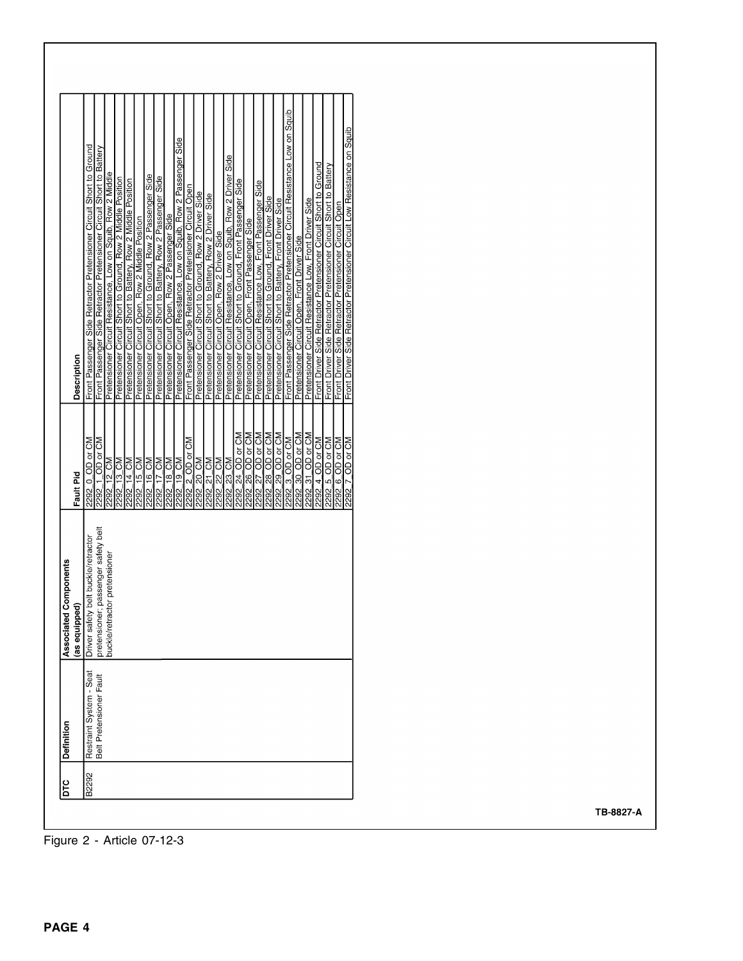| Σc    | Definition              | <b>Associated Components</b>        |                                     |                                                                             |
|-------|-------------------------|-------------------------------------|-------------------------------------|-----------------------------------------------------------------------------|
|       |                         | ped)<br>qinbə se)                   | Fault Pid                           | <b>Description</b>                                                          |
| B2292 | Restraint System - Seat | Driver safety belt buckle/retractor | 2292_0_OD or CM                     | Front Passenger Side Retractor Pretensioner Circuit Short to Ground         |
|       | Belt Pretensioner Fault | pretensioner; passenger safety belt | 2292_1_OD or CM                     | Front Passenger Side Retractor Pretensioner Circuit Short to Battery        |
|       |                         | buckle/retractor pretensioner       | 2292_12_CM                          | Pretensioner Circuit Resistance, Low on Squib, Row 2 Middle                 |
|       |                         |                                     | 2292 13 CM                          | Pretensioner Circuit Short to Ground, Row 2 Middle Position                 |
|       |                         |                                     | 2292_14_CM                          | Pretensioner Circuit Short to Battery, Row 2 Middle Position                |
|       |                         |                                     | 2292 15 CM                          | Pretensioner Circuit Open, Row 2 Middle Position                            |
|       |                         |                                     | 2292_16_CM                          | Pretensioner Circuit Short to Ground, Row 2 Passenger Side                  |
|       |                         |                                     | 2292_17_CM                          | Pretensioner Circuit Short to Battery, Row 2 Passenger Side                 |
|       |                         |                                     | NO 61 2622<br>2595 19 CM            | Pretensioner Circuit Open, Row 2 Passenger Side                             |
|       |                         |                                     |                                     | Pretensioner Circuit Resistance, Low on Squib, Row 2 Passenger Side         |
|       |                         |                                     | 2292_2_OD or CM                     | Front Passenger Side Retractor Pretensioner Circuit Open                    |
|       |                         |                                     | 2292_20_CM                          | Pretensioner Circuit Short to Ground, Row 2 Driver Side                     |
|       |                         |                                     | 2292_21_CM                          | Pretensioner Circuit Short to Battery, Row 2 Driver Side                    |
|       |                         |                                     | 2292_22_CM                          | Pretensioner Circuit Open, Row 2 Driver Side                                |
|       |                         |                                     | 2292_23_CM                          | Pretensioner Circuit Resistance, Low on Squib, Row 2 Driver Side            |
|       |                         |                                     | 2292_24_OD or CM                    | Pretensioner Circuit Short to Ground, Front Passenger Side                  |
|       |                         |                                     | 2292_26_OD or CM                    | Pretensioner Circuit Open, Front Passenger Side                             |
|       |                         |                                     | 2292_27_OD or CM                    | Pretensioner Circuit Resistance Low, Front Passenger Side                   |
|       |                         |                                     | 2292_28_OD or CM                    | Pretensioner Circuit Short to Ground, Front Driver Side                     |
|       |                         |                                     | 2292_29_OD or CM                    | Pretensioner Circuit Short to Battery, Front Driver Side                    |
|       |                         |                                     | 2292_3_OD or CM<br>2292_30_OD or CM | Front Passenger Side Retractor Pretensioner Circuit Resistance Low on Squib |
|       |                         |                                     |                                     | Pretensioner Circuit Open, Front Driver Side                                |
|       |                         |                                     | 2292_31_OD or CM                    | Pretensioner Circuit Resistance Low, Front Driver Side                      |
|       |                         |                                     | 2292_4_OD or CM                     | Front Driver Side Retractor Pretensioner Circuit Short to Ground            |
|       |                         |                                     | 2292_5_OD or CM                     | Front Driver Side Retractor Pretensioner Circuit Short to Battery           |
|       |                         |                                     | NO 10 0 2622<br>200 0 0 0 0 2622    | Front Driver Side Retractor Pretensioner Circuit Open                       |
|       |                         |                                     |                                     | Front Driver Side Retractor Pretensioner Circuit Low Resistance on Squib    |

TB-8827-A

Figure 2 - Article 07-12-3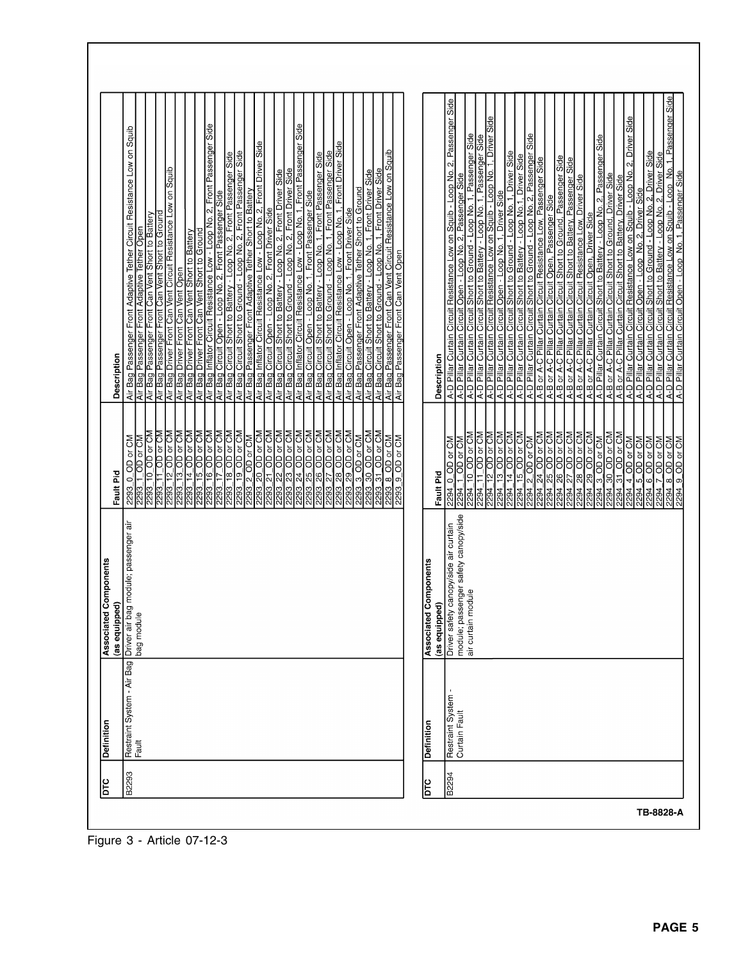| Ξ            | <b>Definition</b>                   | <b>Associated Components</b><br>(as equipped)                                                       | Fault Pid                                                                                                                                                                                                                                                                                                                                                                                                                                                                                                                                                                                                                                                                                                  | Description                                                                                                                                                                                                                                                                                                                                                                                                                                                                                                                                                                                                                                                                                                                                                                                                                                                                                                                                                                                                                                                                                                                                                                                                                                                                                                                                                                                                                                                                                                                                                                                                                                                                                                                                                                                                                                                                                                                                                           |
|--------------|-------------------------------------|-----------------------------------------------------------------------------------------------------|------------------------------------------------------------------------------------------------------------------------------------------------------------------------------------------------------------------------------------------------------------------------------------------------------------------------------------------------------------------------------------------------------------------------------------------------------------------------------------------------------------------------------------------------------------------------------------------------------------------------------------------------------------------------------------------------------------|-----------------------------------------------------------------------------------------------------------------------------------------------------------------------------------------------------------------------------------------------------------------------------------------------------------------------------------------------------------------------------------------------------------------------------------------------------------------------------------------------------------------------------------------------------------------------------------------------------------------------------------------------------------------------------------------------------------------------------------------------------------------------------------------------------------------------------------------------------------------------------------------------------------------------------------------------------------------------------------------------------------------------------------------------------------------------------------------------------------------------------------------------------------------------------------------------------------------------------------------------------------------------------------------------------------------------------------------------------------------------------------------------------------------------------------------------------------------------------------------------------------------------------------------------------------------------------------------------------------------------------------------------------------------------------------------------------------------------------------------------------------------------------------------------------------------------------------------------------------------------------------------------------------------------------------------------------------------------|
| B2293        | Restraint System - Air Bag<br>Fault | Driver air bag module; passenger air<br>bag module                                                  | $25$ OD or CM<br>2293_17_OD or CM<br>$21$ OD or CM<br>13_0D or CM<br>2293_14_OD_or CM<br>2293_15_OD_or CM<br>$16\_OD$ or CM<br>$18$ OD or CM<br>2293_19_OD or CM<br>$\frac{2.00 \text{ or CM}}{20.00 \text{ or CM}}$<br>OD or CM<br>$23$ _OD or CM<br>MOJO OCT<br>29_OD or CM<br>$30-OD$ or CM<br>$31$ OD or CM<br>OD or CM<br>28_OD or CM<br>10_OD or CM<br>11 OD or CM<br>12_OD or CM<br>2293_3_OD or CM<br>0_OD or CM<br>OD or CM<br>9_OD or CM<br>OD or CM<br>$ \mathrm{s} $<br>$ \vec{z} $<br> S <br>27<br>∞]<br>2293<br>2293<br>2293<br>2293<br>2293<br>293<br>2293<br>2293<br>2293<br>2293<br>2293_<br>2293<br>2293<br>2293<br>2293<br>2293<br>2293<br>2293<br>2293<br>2293<br>2293<br>2293<br>2293 | Air Bag Inflator Circuit Resistance Low - Loop No. 2, Front Passenger Side<br>Air Bag Circuit Open - Loop No. 2, Front Passenger Side<br>Air Bag Circuit Short to Battery - Loop No. 2, Front Passenger Side<br>Air Bag Circuit Short t<br>Bag Inflator Circuit Resistance Low - Loop No. 1, Front Passenger Side<br>Squib<br>Bag Inflator Circuit Resistance Low - Loop No. 2, Front Driver Side<br>Air Bag Inflator Circuit Resistance Low - Loop No. 1, Front Driver Side<br>Air Bag Circuit Open - Loop No. 1, Front Driver Side<br>Air Bag Passenger Front Adaptive Tether Circuit Resistance Low on<br>Bag Passenger Front Can Vent Circuit Resistance Low on Squib<br>Air Bag Circuit Short to Battery - Loop No. 1, Front Passenger Side<br>Air Bag Circuit Short to Ground - Loop No. 1, Front Passenger Side<br>Air Bag Driver Front Can Vent Circuit Resistance Low on Squib<br>Air Bag Driver Front Can Vent Open<br>Air Bag Circuit Short to Ground - Loop No. 2, Front Driver Side<br><u>Air Bag Circuit Short to Ground - Loop No. 1, Front Driver Side</u><br>Air Bag Passenger Front Can Vent Circuit Resistance Low on S<br>Air Bag Circuit Short to Battery - Loop No. 1, Front Driver Side<br>Bag Circuit Short to Battery - Loop No. 2, Front Driver Side<br>Air Bag Passenger Front Adaptive Tether Short to Ground<br>Air Bag Passenger Front Adaptive Tether Short to Battery<br>Air Bag Inflator Circuit Resistance Low - Loop No. 2, Fron<br><u>Air Bag Inflator Circuit Resistance Low - Loop No. 1, Fron</u><br>Air Bag Circuit Open - Loop No. 1, Front Passenger Side<br>Air Bag Circuit Open - Loop No. 2, Front Driver Side<br>Air Bag Passenger Front Can Vent Short to Ground<br>Bag Passenger Front Can Vent Short to Battery<br>Bag Passenger Front Adaptive Tether Open<br>Air Bag Driver Front Can Vent Short to Battery<br>Air Bag Driver Front Can Vent Short to Ground<br>Air Bag Passenger Front Can Vent Open<br>াইই<br>lä |
| pг           | Definition                          | Components<br>(as equipped)<br>Associated                                                           | Fault Pid                                                                                                                                                                                                                                                                                                                                                                                                                                                                                                                                                                                                                                                                                                  | Description                                                                                                                                                                                                                                                                                                                                                                                                                                                                                                                                                                                                                                                                                                                                                                                                                                                                                                                                                                                                                                                                                                                                                                                                                                                                                                                                                                                                                                                                                                                                                                                                                                                                                                                                                                                                                                                                                                                                                           |
| <b>B2294</b> | Restraint System<br>Curtain Fault   | module; passenger safety canopy/side<br>Driver safety canopy/side air curtain<br>air curtain module | 2294_10_OD or CM<br>2294_28_OD or CM<br>2294_30_OD or CM<br>2294_31_OD or CM<br>2294_13_OD or CM<br>2294_14_OD or CM<br>$\frac{11}{12}$ OD or CM<br>MO 10 OD 11<br>$15$ _OD or CM<br>29_OD or CM<br>$\overline{OD}$ or $\overline{CM}$<br>3_OD or CM<br>2294 0 OD or CM<br>$\_OD$ or $CM$<br>2294_4_OD or CM<br>2294_5_OD or CM<br>OD or CM<br>OD or CM<br>OD or CM<br>OD or CM<br>$2294 - 8$<br>$\sim$<br>2294 6<br>ത<br>294<br>2294<br>2294<br>2294<br>2294<br>2294_<br>2294<br>2294<br>2294_<br>2294_<br>2294<br>2294<br>2294                                                                                                                                                                           | A-D Pillar Curtain Circuit Resistance Low on Squib - Loop No. 1, Passenger Side<br>A-D Pillar Curtain Circuit Resistance Low on Squib - Loop No. 2, Passenger Side<br>A-D Pillar Curtain Circuit Resistance Low on Squib - Loop No. 2, Driver Side<br>A-D Pillar Curtain Circuit Open - Loop No. 2, Driver Side<br>A-D Pillar Curtain Circuit Short to Battery - Loop No. 1, Passenger Side<br>A-D Pillar Curtain Circuit Resistance Low on Squib - Loop No. 1, Driver Side<br>A-D Pillar Curtain Circuit Short to Ground - Loop No. 1, Passenger Side<br>A-D Pillar Curtain Circuit Short to Ground - Loop No. 2, Passenger Side<br>A-D Pillar Curtain Circuit Short to Battery - Loop No. 2, Passenger Side<br>A-D Pillar Curtain Circuit Open - Loop No. 1, Driver Side<br>A-D Pillar Curtain Circuit Short to Ground - Loop No. 1, Driver Side<br>A-D Pillar Curtain Circuit Short to Ground - Loop No. 2, Driver Side<br>A-D Pillar Curtain Circuit Short to Battery - Loop No. 2, Driver Side<br>A-D Pillar Curtain Circuit Short to Battery - Loop No.1, Driver Side<br>A-B or A-C Pillar Curtain Circuit Short to Ground, Passenger Side<br>A-B or A-C Pillar Curtain Circuit Short to Battery, Passenger Side<br>A-B or A-C Pillar Curtain Circuit Resistance Low, Passenger Side<br>A-D Pillar Curtain Circuit Open - Loop No. 1, Passenger Side<br>Passenger Side<br>A-B or A-C Pillar Curtain Circuit Short to Ground, Driver Side<br>A-B or A-C Pillar Curtain Circuit Short to Battery, Driver Side<br>A-B or A-C Pillar Curtain Circuit Resistance Low, Driver Side<br>A-B or A-C Pillar Curtain Circuit Open, Passenger Side<br>A-B or A-C Pillar Curtain Circuit Open, Driver Side<br>$\sim$<br>A-D Pillar Curtain Circuit Open - Loop No.                                                                                                                                                                                                           |

Figure 3 - Article 07-12-3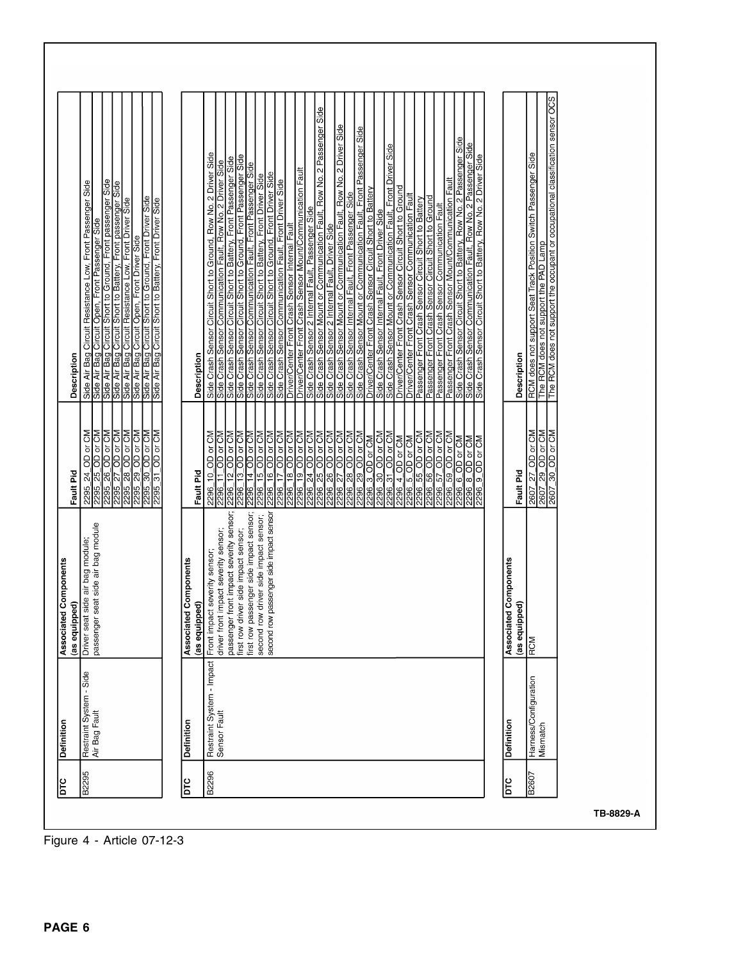| DLC        | Definition                | <b>Associated Components</b>            |                                                                   |                                                                                                                                      |
|------------|---------------------------|-----------------------------------------|-------------------------------------------------------------------|--------------------------------------------------------------------------------------------------------------------------------------|
|            |                           | (as equipped)                           | Fault Pid                                                         | Description                                                                                                                          |
| B2295      | Restraint System - Side   | Driver seat side air bag module;        | 2295_24_OD or CM                                                  | Side Air Bag Circuit Resistance Low, Front Passenger Side                                                                            |
|            | Air Bag Fault             | seat side air bag module<br>passenger   | 2295_25_OD or CM                                                  |                                                                                                                                      |
|            |                           |                                         | 2295_26_OD or CM                                                  | Side Air Bag Circuit Open, Front Passenger Side<br>Side Air Bag Circuit Short to Ground, Front passenger Side                        |
|            |                           |                                         | 2295_27_OD or CM                                                  | Side Air Bag Circuit Short to Battery, Front passenger Side                                                                          |
|            |                           |                                         | 2295_28_OD or CM                                                  | Side Air Bag Circuit Resistance Low, Front Driver Side                                                                               |
|            |                           |                                         | 2295 29 OD or CM                                                  | Side Air Bag Circuit Open, Front Driver Side                                                                                         |
|            |                           |                                         | 2295_30_OD or CM<br>$\overline{OD}$ or $\overline{CM}$<br>2295_31 | Side Air Bag Circuit Short to Ground, Front Driver Side<br>Side Air Bag Circuit Short to Battery, Front Driver Side                  |
|            |                           |                                         |                                                                   |                                                                                                                                      |
| <b>DTC</b> | Definition                | <b>Associated Components</b>            |                                                                   |                                                                                                                                      |
|            |                           | (as equipped)                           | Fault Pid                                                         | <b>Description</b>                                                                                                                   |
| B2296      | Restraint System - Impact | Front impact severity sensor;           | 2296 10 OD or CM                                                  | Side Crash Sensor Circuit Short to Ground, Row No. 2 Driver Side                                                                     |
|            | Sensor Fault              | driver front impact severity sensor;    | $11$ OD or CM<br>2296                                             | Side Crash Sensor Communication Fault, Row No. 2 Driver Side                                                                         |
|            |                           | passenger front impact severity sensor; | 2296 12 OD or CM                                                  | Side Crash Sensor Circuit Short to Battery, Front Passenger Side                                                                     |
|            |                           | first row driver side impact sensor;    | 2296_13_OD or CM                                                  | Side Crash Sensor Circuit Short to Ground, Front Passenger Side                                                                      |
|            |                           | first row passenger side impact sensor; | 2296_14_OD or CM                                                  | Side Crash Sensor Communication Fault, Front Passenger Side                                                                          |
|            |                           | second row driver side impact sensor;   | 2296_15_OD or CM                                                  | Side Crash Sensor Circuit Short to Battery, Front Driver Side                                                                        |
|            |                           | second row passenger side impact sensor | 2296_16_OD or CM                                                  | Side Crash Sensor Circuit Short to Ground, Front Driver Side                                                                         |
|            |                           |                                         | 2296 17 OD or CM                                                  | Side Crash Sensor Communication Fault, Front Driver Side                                                                             |
|            |                           |                                         | 2296_18_OD or CM                                                  | Driver/Center Front Crash Sensor Internal Fault                                                                                      |
|            |                           |                                         | 2296 19 OD or CM                                                  | Driver/Center Front Crash Sensor Mount/Communication Fault                                                                           |
|            |                           |                                         | 2296_24_OD or CM                                                  | Side Crash Sensor 2 Internal Fault, Passenger Side                                                                                   |
|            |                           |                                         | 2296 25 OD or CM                                                  | Side Crash Sensor Mount or Communication Fault, Row No. 2 Passenger Side                                                             |
|            |                           |                                         | 2296_27_OD or CM<br>2296_26_OD or CM                              | Side Crash Sensor 2 Internal Fault, Driver Side                                                                                      |
|            |                           |                                         |                                                                   | Side Crash Sensor Mount or Communication Fault, Row No. 2 Driver Side<br>Side Crash Sensor Internal Fault, Front Passenger Side      |
|            |                           |                                         | 2296_29_OD or CM<br>2296_28_OD or CM                              | Side Crash Sensor Mount or Communication Fault, Front Passenger Side                                                                 |
|            |                           |                                         |                                                                   | Driver/Center Front Crash Sensor Circuit Short to Battery                                                                            |
|            |                           |                                         | 2296 3 OD or CM<br>2296 30 OD or CM                               | Side Crash Sensor Internal Fault, Front Driver Side                                                                                  |
|            |                           |                                         | 2296_31_OD or CM                                                  | Side Crash Sensor Mount or Communication Fault, Front Driver Side                                                                    |
|            |                           |                                         | 2296_4_OD or CM                                                   | Driver/Center Front Crash Sensor Circuit Short to Ground                                                                             |
|            |                           |                                         | 2296 5 OD or CM                                                   | Driver/Center Front Crash Sensor Communication Fault                                                                                 |
|            |                           |                                         | 2296_55_OD or CM                                                  | Passenger Front Crash Sensor Circuit Short to Battery                                                                                |
|            |                           |                                         | 2296_56_OD or CM                                                  | Passenger Front Crash Sensor Circuit Short to Ground                                                                                 |
|            |                           |                                         | 2296_57_OD or CM                                                  | Passenger Front Crash Sensor Communication Fault                                                                                     |
|            |                           |                                         | 2296 59 OD or CM                                                  | Passenger Front Crash Sensor Mount/Communication Fault                                                                               |
|            |                           |                                         | 2296 6 OD or CM                                                   | Side Crash Sensor Circuit Short to Battery, Row No. 2 Passenger Side                                                                 |
|            |                           |                                         | 2296_9_OD or CM<br>2296_8_OD or CM                                | Side Crash Sensor Communication Fault, Row No. 2 Passenger Side<br>Side Crash Sensor Circuit Short to Battery, Row No. 2 Driver Side |
|            |                           |                                         |                                                                   |                                                                                                                                      |
| Бc         | Definition                | Associated Components<br>(as equipped)  | Fault Pid                                                         | Description                                                                                                                          |
| B2607      | Harness/Configuration     | RCM                                     | 27_OD or CM<br>2607                                               | RCM does not support Seat Track Position Switch Passenger Side                                                                       |
|            | Mismatch                  |                                         | $29$ OD or CM<br>2607                                             | The RCM does not support the PAD Lamp                                                                                                |
|            |                           |                                         | 2607_30_OD or CM                                                  | The RCM does not support the occupant or occupational classification sensor OCS                                                      |

TB-8829-A

Figure 4 - Article 07-12-3